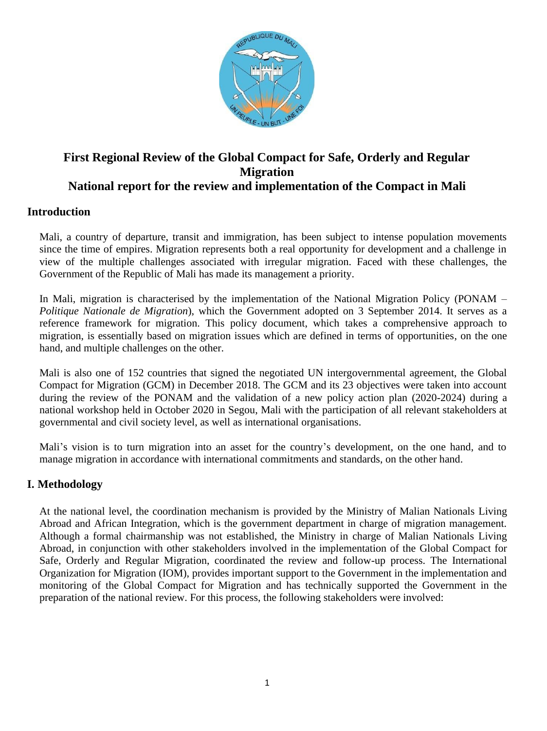

# **First Regional Review of the Global Compact for Safe, Orderly and Regular Migration National report for the review and implementation of the Compact in Mali**

## **Introduction**

Mali, a country of departure, transit and immigration, has been subject to intense population movements since the time of empires. Migration represents both a real opportunity for development and a challenge in view of the multiple challenges associated with irregular migration. Faced with these challenges, the Government of the Republic of Mali has made its management a priority.

In Mali, migration is characterised by the implementation of the National Migration Policy (PONAM – *Politique Nationale de Migration*), which the Government adopted on 3 September 2014. It serves as a reference framework for migration. This policy document, which takes a comprehensive approach to migration, is essentially based on migration issues which are defined in terms of opportunities, on the one hand, and multiple challenges on the other.

Mali is also one of 152 countries that signed the negotiated UN intergovernmental agreement, the Global Compact for Migration (GCM) in December 2018. The GCM and its 23 objectives were taken into account during the review of the PONAM and the validation of a new policy action plan (2020-2024) during a national workshop held in October 2020 in Segou, Mali with the participation of all relevant stakeholders at governmental and civil society level, as well as international organisations.

Mali's vision is to turn migration into an asset for the country's development, on the one hand, and to manage migration in accordance with international commitments and standards, on the other hand.

## **I. Methodology**

At the national level, the coordination mechanism is provided by the Ministry of Malian Nationals Living Abroad and African Integration, which is the government department in charge of migration management. Although a formal chairmanship was not established, the Ministry in charge of Malian Nationals Living Abroad, in conjunction with other stakeholders involved in the implementation of the Global Compact for Safe, Orderly and Regular Migration, coordinated the review and follow-up process. The International Organization for Migration (IOM), provides important support to the Government in the implementation and monitoring of the Global Compact for Migration and has technically supported the Government in the preparation of the national review. For this process, the following stakeholders were involved: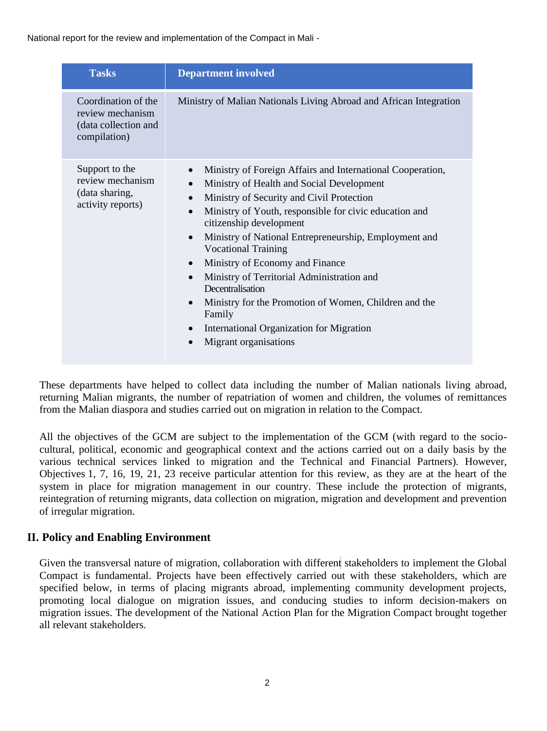| <b>Tasks</b>                                                                    | <b>Department involved</b>                                                                                                                                                                                                                                                                                                                                                                                                                                                                                                                                                                                                                                               |
|---------------------------------------------------------------------------------|--------------------------------------------------------------------------------------------------------------------------------------------------------------------------------------------------------------------------------------------------------------------------------------------------------------------------------------------------------------------------------------------------------------------------------------------------------------------------------------------------------------------------------------------------------------------------------------------------------------------------------------------------------------------------|
| Coordination of the<br>review mechanism<br>(data collection and<br>compilation) | Ministry of Malian Nationals Living Abroad and African Integration                                                                                                                                                                                                                                                                                                                                                                                                                                                                                                                                                                                                       |
| Support to the<br>review mechanism<br>(data sharing,<br>activity reports)       | Ministry of Foreign Affairs and International Cooperation,<br>$\bullet$<br>Ministry of Health and Social Development<br>$\bullet$<br>Ministry of Security and Civil Protection<br>Ministry of Youth, responsible for civic education and<br>citizenship development<br>Ministry of National Entrepreneurship, Employment and<br>$\bullet$<br><b>Vocational Training</b><br>Ministry of Economy and Finance<br>$\bullet$<br>Ministry of Territorial Administration and<br>$\bullet$<br>Decentralisation<br>Ministry for the Promotion of Women, Children and the<br>$\bullet$<br>Family<br>International Organization for Migration<br>$\bullet$<br>Migrant organisations |

These departments have helped to collect data including the number of Malian nationals living abroad, returning Malian migrants, the number of repatriation of women and children, the volumes of remittances from the Malian diaspora and studies carried out on migration in relation to the Compact.

All the objectives of the GCM are subject to the implementation of the GCM (with regard to the sociocultural, political, economic and geographical context and the actions carried out on a daily basis by the various technical services linked to migration and the Technical and Financial Partners). However, Objectives 1, 7, 16, 19, 21, 23 receive particular attention for this review, as they are at the heart of the system in place for migration management in our country. These include the protection of migrants, reintegration of returning migrants, data collection on migration, migration and development and prevention of irregular migration.

## **II. Policy and Enabling Environment**

Given the transversal nature of migration, collaboration with different stakeholders to implement the Global Compact is fundamental. Projects have been effectively carried out with these stakeholders, which are specified below, in terms of placing migrants abroad, implementing community development projects, promoting local dialogue on migration issues, and conducing studies to inform decision-makers on migration issues. The development of the National Action Plan for the Migration Compact brought together all relevant stakeholders.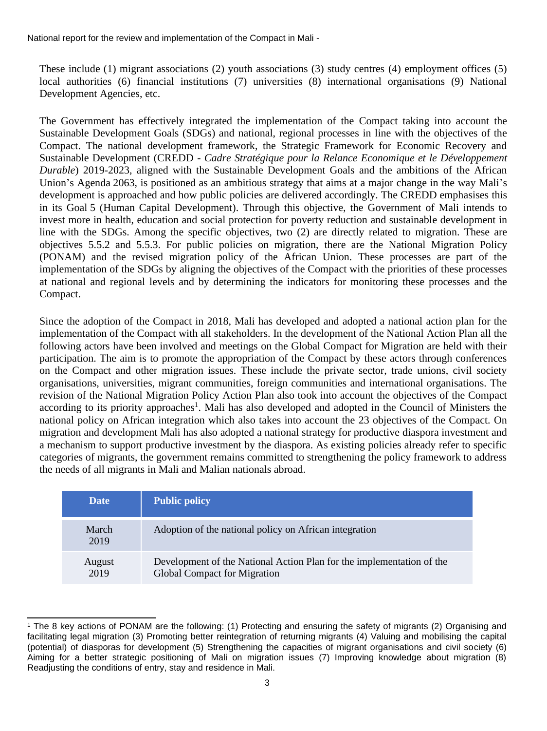These include (1) migrant associations (2) youth associations (3) study centres (4) employment offices (5) local authorities (6) financial institutions (7) universities (8) international organisations (9) National Development Agencies, etc.

The Government has effectively integrated the implementation of the Compact taking into account the Sustainable Development Goals (SDGs) and national, regional processes in line with the objectives of the Compact. The national development framework, the Strategic Framework for Economic Recovery and Sustainable Development (CREDD - *Cadre Stratégique pour la Relance Economique et le Développement Durable*) 2019-2023, aligned with the Sustainable Development Goals and the ambitions of the African Union's Agenda 2063, is positioned as an ambitious strategy that aims at a major change in the way Mali's development is approached and how public policies are delivered accordingly. The CREDD emphasises this in its Goal 5 (Human Capital Development). Through this objective, the Government of Mali intends to invest more in health, education and social protection for poverty reduction and sustainable development in line with the SDGs. Among the specific objectives, two (2) are directly related to migration. These are objectives 5.5.2 and 5.5.3. For public policies on migration, there are the National Migration Policy (PONAM) and the revised migration policy of the African Union. These processes are part of the implementation of the SDGs by aligning the objectives of the Compact with the priorities of these processes at national and regional levels and by determining the indicators for monitoring these processes and the Compact.

Since the adoption of the Compact in 2018, Mali has developed and adopted a national action plan for the implementation of the Compact with all stakeholders. In the development of the National Action Plan all the following actors have been involved and meetings on the Global Compact for Migration are held with their participation. The aim is to promote the appropriation of the Compact by these actors through conferences on the Compact and other migration issues. These include the private sector, trade unions, civil society organisations, universities, migrant communities, foreign communities and international organisations. The revision of the National Migration Policy Action Plan also took into account the objectives of the Compact according to its priority approaches<sup>1</sup>. Mali has also developed and adopted in the Council of Ministers the national policy on African integration which also takes into account the 23 objectives of the Compact. On migration and development Mali has also adopted a national strategy for productive diaspora investment and a mechanism to support productive investment by the diaspora. As existing policies already refer to specific categories of migrants, the government remains committed to strengthening the policy framework to address the needs of all migrants in Mali and Malian nationals abroad.

| <b>Date</b>    | <b>Public policy</b>                                                                                         |
|----------------|--------------------------------------------------------------------------------------------------------------|
| March<br>2019  | Adoption of the national policy on African integration                                                       |
| August<br>2019 | Development of the National Action Plan for the implementation of the<br><b>Global Compact for Migration</b> |

<sup>1</sup> The 8 key actions of PONAM are the following: (1) Protecting and ensuring the safety of migrants (2) Organising and facilitating legal migration (3) Promoting better reintegration of returning migrants (4) Valuing and mobilising the capital (potential) of diasporas for development (5) Strengthening the capacities of migrant organisations and civil society (6) Aiming for a better strategic positioning of Mali on migration issues (7) Improving knowledge about migration (8) Readjusting the conditions of entry, stay and residence in Mali.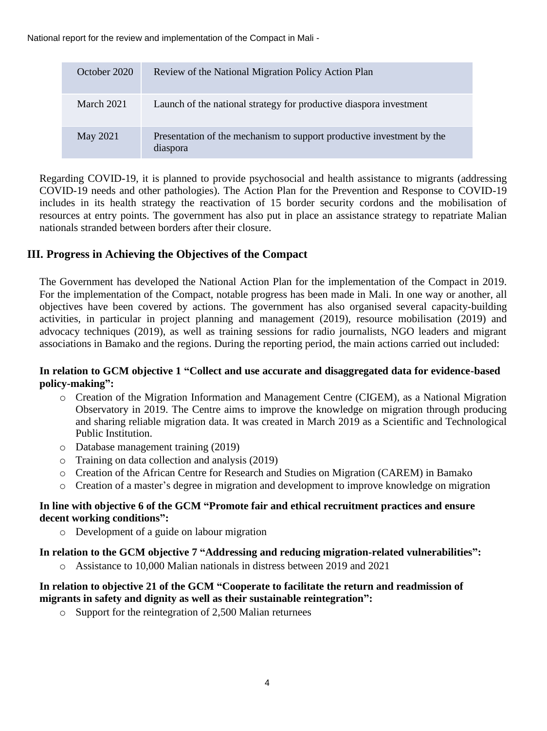| October 2020      | Review of the National Migration Policy Action Plan                               |
|-------------------|-----------------------------------------------------------------------------------|
| <b>March 2021</b> | Launch of the national strategy for productive diaspora investment                |
| May 2021          | Presentation of the mechanism to support productive investment by the<br>diaspora |

Regarding COVID-19, it is planned to provide psychosocial and health assistance to migrants (addressing COVID-19 needs and other pathologies). The Action Plan for the Prevention and Response to COVID-19 includes in its health strategy the reactivation of 15 border security cordons and the mobilisation of resources at entry points. The government has also put in place an assistance strategy to repatriate Malian nationals stranded between borders after their closure.

## **III. Progress in Achieving the Objectives of the Compact**

The Government has developed the National Action Plan for the implementation of the Compact in 2019. For the implementation of the Compact, notable progress has been made in Mali. In one way or another, all objectives have been covered by actions. The government has also organised several capacity-building activities, in particular in project planning and management (2019), resource mobilisation (2019) and advocacy techniques (2019), as well as training sessions for radio journalists, NGO leaders and migrant associations in Bamako and the regions. During the reporting period, the main actions carried out included:

### **In relation to GCM objective 1 "Collect and use accurate and disaggregated data for evidence-based policy-making":**

- o Creation of the Migration Information and Management Centre (CIGEM), as a National Migration Observatory in 2019. The Centre aims to improve the knowledge on migration through producing and sharing reliable migration data. It was created in March 2019 as a Scientific and Technological Public Institution.
- o Database management training (2019)
- o Training on data collection and analysis (2019)
- o Creation of the African Centre for Research and Studies on Migration (CAREM) in Bamako
- o Creation of a master's degree in migration and development to improve knowledge on migration

### **In line with objective 6 of the GCM "Promote fair and ethical recruitment practices and ensure decent working conditions":**

o Development of a guide on labour migration

#### **In relation to the GCM objective 7 "Addressing and reducing migration-related vulnerabilities":**

o Assistance to 10,000 Malian nationals in distress between 2019 and 2021

### **In relation to objective 21 of the GCM "Cooperate to facilitate the return and readmission of migrants in safety and dignity as well as their sustainable reintegration":**

o Support for the reintegration of 2,500 Malian returnees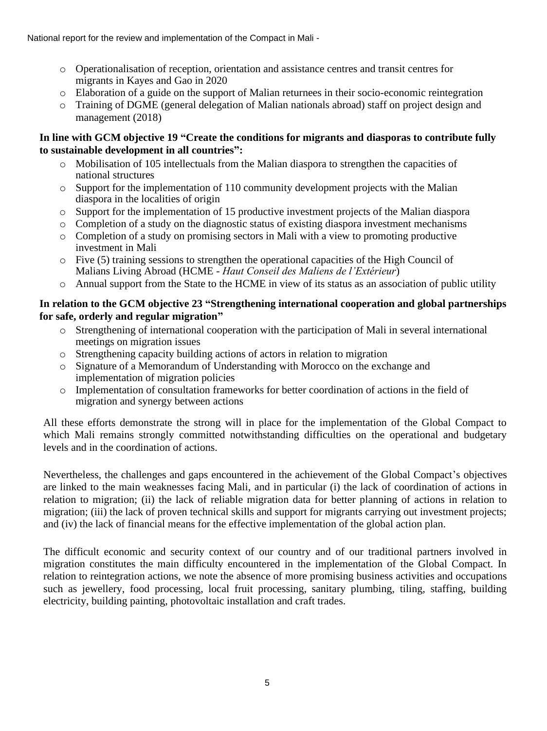- o Operationalisation of reception, orientation and assistance centres and transit centres for migrants in Kayes and Gao in 2020
- o Elaboration of a guide on the support of Malian returnees in their socio-economic reintegration
- o Training of DGME (general delegation of Malian nationals abroad) staff on project design and management (2018)

### **In line with GCM objective 19 "Create the conditions for migrants and diasporas to contribute fully to sustainable development in all countries":**

- o Mobilisation of 105 intellectuals from the Malian diaspora to strengthen the capacities of national structures
- o Support for the implementation of 110 community development projects with the Malian diaspora in the localities of origin
- o Support for the implementation of 15 productive investment projects of the Malian diaspora
- $\circ$  Completion of a study on the diagnostic status of existing diaspora investment mechanisms
- o Completion of a study on promising sectors in Mali with a view to promoting productive investment in Mali
- o Five (5) training sessions to strengthen the operational capacities of the High Council of Malians Living Abroad (HCME - *Haut Conseil des Maliens de l'Extérieur*)
- o Annual support from the State to the HCME in view of its status as an association of public utility

## **In relation to the GCM objective 23 "Strengthening international cooperation and global partnerships for safe, orderly and regular migration"**

- $\circ$  Strengthening of international cooperation with the participation of Mali in several international meetings on migration issues
- o Strengthening capacity building actions of actors in relation to migration
- o Signature of a Memorandum of Understanding with Morocco on the exchange and implementation of migration policies
- o Implementation of consultation frameworks for better coordination of actions in the field of migration and synergy between actions

All these efforts demonstrate the strong will in place for the implementation of the Global Compact to which Mali remains strongly committed notwithstanding difficulties on the operational and budgetary levels and in the coordination of actions.

Nevertheless, the challenges and gaps encountered in the achievement of the Global Compact's objectives are linked to the main weaknesses facing Mali, and in particular (i) the lack of coordination of actions in relation to migration; (ii) the lack of reliable migration data for better planning of actions in relation to migration; (iii) the lack of proven technical skills and support for migrants carrying out investment projects; and (iv) the lack of financial means for the effective implementation of the global action plan.

The difficult economic and security context of our country and of our traditional partners involved in migration constitutes the main difficulty encountered in the implementation of the Global Compact. In relation to reintegration actions, we note the absence of more promising business activities and occupations such as jewellery, food processing, local fruit processing, sanitary plumbing, tiling, staffing, building electricity, building painting, photovoltaic installation and craft trades.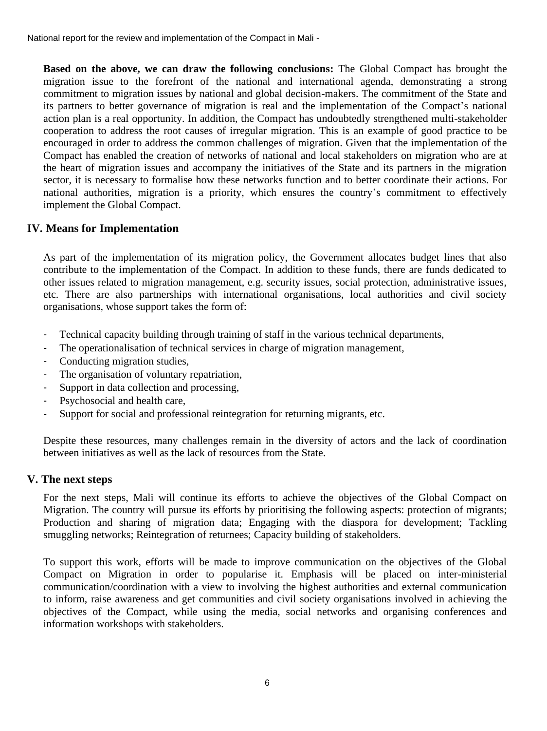**Based on the above, we can draw the following conclusions:** The Global Compact has brought the migration issue to the forefront of the national and international agenda, demonstrating a strong commitment to migration issues by national and global decision-makers. The commitment of the State and its partners to better governance of migration is real and the implementation of the Compact's national action plan is a real opportunity. In addition, the Compact has undoubtedly strengthened multi-stakeholder cooperation to address the root causes of irregular migration. This is an example of good practice to be encouraged in order to address the common challenges of migration. Given that the implementation of the Compact has enabled the creation of networks of national and local stakeholders on migration who are at the heart of migration issues and accompany the initiatives of the State and its partners in the migration sector, it is necessary to formalise how these networks function and to better coordinate their actions. For national authorities, migration is a priority, which ensures the country's commitment to effectively implement the Global Compact.

## **IV. Means for Implementation**

As part of the implementation of its migration policy, the Government allocates budget lines that also contribute to the implementation of the Compact. In addition to these funds, there are funds dedicated to other issues related to migration management, e.g. security issues, social protection, administrative issues, etc. There are also partnerships with international organisations, local authorities and civil society organisations, whose support takes the form of:

- Technical capacity building through training of staff in the various technical departments,
- The operationalisation of technical services in charge of migration management,
- Conducting migration studies,
- The organisation of voluntary repatriation,
- Support in data collection and processing,
- Psychosocial and health care,
- Support for social and professional reintegration for returning migrants, etc.

Despite these resources, many challenges remain in the diversity of actors and the lack of coordination between initiatives as well as the lack of resources from the State.

#### **V. The next steps**

For the next steps, Mali will continue its efforts to achieve the objectives of the Global Compact on Migration. The country will pursue its efforts by prioritising the following aspects: protection of migrants; Production and sharing of migration data; Engaging with the diaspora for development; Tackling smuggling networks; Reintegration of returnees; Capacity building of stakeholders.

To support this work, efforts will be made to improve communication on the objectives of the Global Compact on Migration in order to popularise it. Emphasis will be placed on inter-ministerial communication/coordination with a view to involving the highest authorities and external communication to inform, raise awareness and get communities and civil society organisations involved in achieving the objectives of the Compact, while using the media, social networks and organising conferences and information workshops with stakeholders.